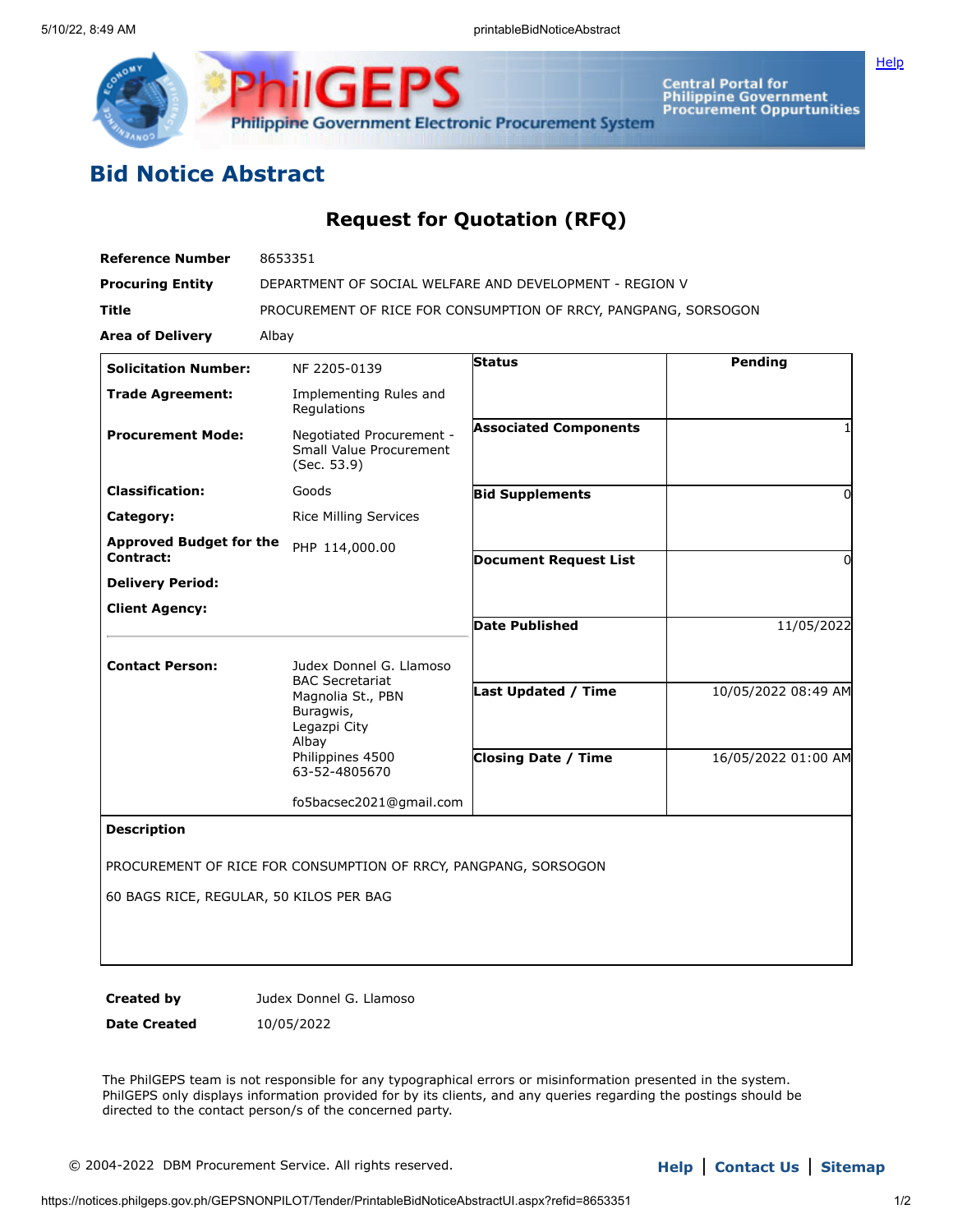

Central Portal for<br>Philippine Government<br>Procurement Oppurtunities

## **Bid Notice Abstract**

## **Request for Quotation (RFQ)**

| <b>Reference Number</b>        | 8653351                                                                           |                              |                     |
|--------------------------------|-----------------------------------------------------------------------------------|------------------------------|---------------------|
| <b>Procuring Entity</b>        | DEPARTMENT OF SOCIAL WELFARE AND DEVELOPMENT - REGION V                           |                              |                     |
| <b>Title</b>                   | PROCUREMENT OF RICE FOR CONSUMPTION OF RRCY, PANGPANG, SORSOGON                   |                              |                     |
| <b>Area of Delivery</b>        | Albay                                                                             |                              |                     |
| <b>Solicitation Number:</b>    | NF 2205-0139                                                                      | Status                       | Pending             |
| <b>Trade Agreement:</b>        | Implementing Rules and<br>Regulations                                             |                              |                     |
| <b>Procurement Mode:</b>       | Negotiated Procurement -<br>Small Value Procurement<br>(Sec. 53.9)                | <b>Associated Components</b> |                     |
| <b>Classification:</b>         | Goods                                                                             | <b>Bid Supplements</b>       | 0                   |
| Category:                      | <b>Rice Milling Services</b>                                                      |                              |                     |
| <b>Approved Budget for the</b> | PHP 114,000.00                                                                    |                              |                     |
| Contract:                      |                                                                                   | <b>Document Request List</b> | 0                   |
| <b>Delivery Period:</b>        |                                                                                   |                              |                     |
| <b>Client Agency:</b>          |                                                                                   | <b>Date Published</b>        | 11/05/2022          |
| <b>Contact Person:</b>         | Judex Donnel G. Llamoso                                                           |                              |                     |
|                                | <b>BAC Secretariat</b><br>Magnolia St., PBN<br>Buragwis,<br>Legazpi City<br>Albay | <b>Last Updated / Time</b>   | 10/05/2022 08:49 AM |
|                                | Philippines 4500<br>63-52-4805670                                                 | <b>Closing Date / Time</b>   | 16/05/2022 01:00 AM |
|                                | fo5bacsec2021@gmail.com                                                           |                              |                     |
| <b>Description</b>             | PROCUREMENT OF RICE FOR CONSUMPTION OF RRCY, PANGPANG, SORSOGON                   |                              |                     |

60 BAGS RICE, REGULAR, 50 KILOS PER BAG

**Created by Judex Donnel G. Llamoso** 

**Date Created** 10/05/2022

The PhilGEPS team is not responsible for any typographical errors or misinformation presented in the system. PhilGEPS only displays information provided for by its clients, and any queries regarding the postings should be directed to the contact person/s of the concerned party.